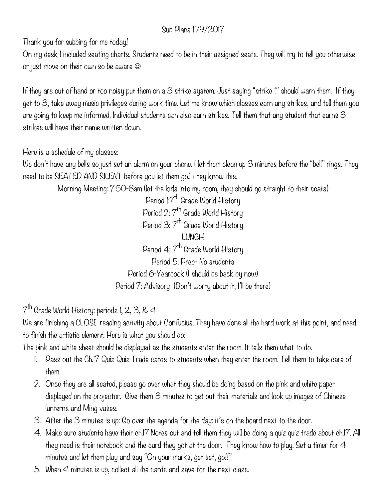## Sub Plans 11/9/2017

Thank you for subbing for me today!

On my desk I included seating charts. Students need to be in their assigned seats. They will try to tell you otherwise or just move on their own so be aware  $\odot$ 

If they are out of hand or too noisy put them on a  $3$  strike system. Just saying "strike I" should warn them. If they get to 3, take away music privileges during work time. Let me know which classes earn any strikes, and tell them you are going to keep me informed. Individual students can also earn strikes. Tell them that any student that earns 3 strikes will have their name written down.

Here is a schedule of my classes:

We don't have any bells so just set an alarm on your phone. I let them clean up 3 minutes before the "bell" rings. They need to be SEATED AND SILENT before you let them go! They know this.

Morning Meeting: 7:50-8am (let the kids into my room, they should go straight to their seats)

Period 1:7<sup>th</sup> Grade World History Period 2:  $7^{th}$  Grade World History Period 3: 7<sup>th</sup> Grade World History LUNCH Period 4: 7<sup>th</sup> Grade World History Period 5: Prep- No students Period 6-Yearbook (I should be back by now) Period 7: Advisory (Don't worry about it, I'll be there)

 $7<sup>th</sup>$  Grade World History: periods 1, 2, 3, & 4

We are finishing a CLOSE reading activity about Confucius. They have done all the hard work at this point, and need to finish the artistic element. Here is what you should do:

The pink and white sheet should be displayed as the students enter the room. It tells them what to do.

- 1. Pass out the Ch.17 Quiz Quiz Trade cards to students when they enter the room. Tell them to take care of them.
- 2. Once they are all seated, please go over what they should be doing based on the pink and white paper displayed on the projector. Give them 3 minutes to get out their materials and look up images of Chinese lanterns and Ming vases.
- 3. After the 3 minutes is up: Go over the agenda for the day: it's on the board next to the door.
- 4. Make sure students have their ch.17 Notes out and tell them they will be doing a quiz quiz trade about ch.17. All they need is their notebook and the card they got at the door. They know how to play. Set a timer for 4 minutes and let them play and say "On your marks, get set, go!!"
- 5. When 4 minutes is up, collect all the cards and save for the next class.